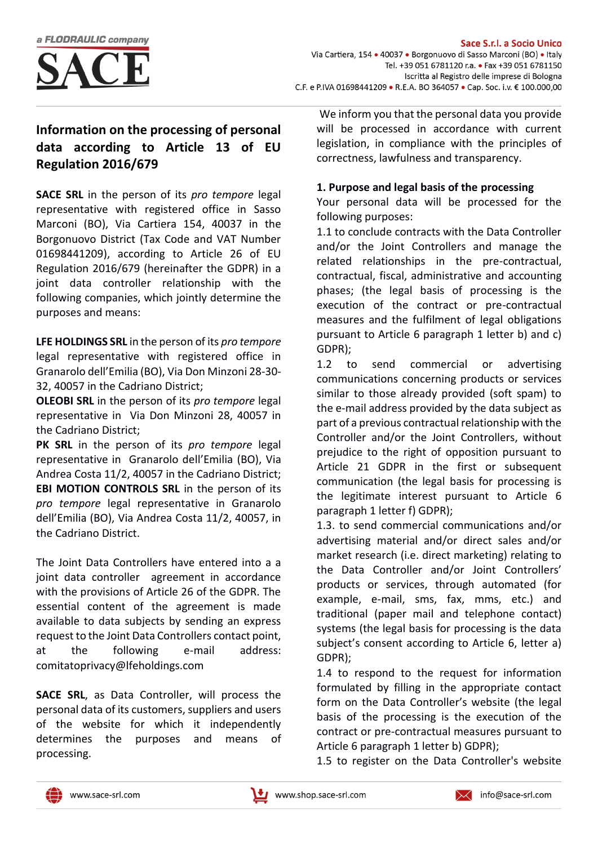

# **Information on the processing of personal data according to Article 13 of EU Regulation 2016/679**

**SACE SRL** in the person of its *pro tempore* legal representative with registered office in Sasso Marconi (BO), Via Cartiera 154, 40037 in the Borgonuovo District (Tax Code and VAT Number 01698441209), according to Article 26 of EU Regulation 2016/679 (hereinafter the GDPR) in a joint data controller relationship with the following companies, which jointly determine the purposes and means:

**LFE HOLDINGS SRL** in the person of its *pro tempore* legal representative with registered office in Granarolo dell'Emilia (BO), Via Don Minzoni 28-30- 32, 40057 in the Cadriano District;

**OLEOBI SRL** in the person of its *pro tempore* legal representative in Via Don Minzoni 28, 40057 in the Cadriano District;

**PK SRL** in the person of its *pro tempore* legal representative in Granarolo dell'Emilia (BO), Via Andrea Costa 11/2, 40057 in the Cadriano District; **EBI MOTION CONTROLS SRL** in the person of its *pro tempore* legal representative in Granarolo dell'Emilia (BO), Via Andrea Costa 11/2, 40057, in the Cadriano District.

The Joint Data Controllers have entered into a a joint data controller agreement in accordance with the provisions of Article 26 of the GDPR. The essential content of the agreement is made available to data subjects by sending an express request to the Joint Data Controllers contact point, at the following e-mail address: comitatoprivacy@lfeholdings.com

**SACE SRL**, as Data Controller, will process the personal data of its customers, suppliers and users of the website for which it independently determines the purposes and means of processing.

We inform you that the personal data you provide will be processed in accordance with current legislation, in compliance with the principles of correctness, lawfulness and transparency.

# **1. Purpose and legal basis of the processing**

Your personal data will be processed for the following purposes:

1.1 to conclude contracts with the Data Controller and/or the Joint Controllers and manage the related relationships in the pre-contractual, contractual, fiscal, administrative and accounting phases; (the legal basis of processing is the execution of the contract or pre-contractual measures and the fulfilment of legal obligations pursuant to Article 6 paragraph 1 letter b) and c) GDPR);

1.2 to send commercial or advertising communications concerning products or services similar to those already provided (soft spam) to the e-mail address provided by the data subject as part of a previous contractual relationship with the Controller and/or the Joint Controllers, without prejudice to the right of opposition pursuant to Article 21 GDPR in the first or subsequent communication (the legal basis for processing is the legitimate interest pursuant to Article 6 paragraph 1 letter f) GDPR);

1.3. to send commercial communications and/or advertising material and/or direct sales and/or market research (i.e. direct marketing) relating to the Data Controller and/or Joint Controllers' products or services, through automated (for example, e-mail, sms, fax, mms, etc.) and traditional (paper mail and telephone contact) systems (the legal basis for processing is the data subject's consent according to Article 6, letter a) GDPR);

1.4 to respond to the request for information formulated by filling in the appropriate contact form on the Data Controller's website (the legal basis of the processing is the execution of the contract or pre-contractual measures pursuant to Article 6 paragraph 1 letter b) GDPR);

1.5 to register on the Data Controller's website



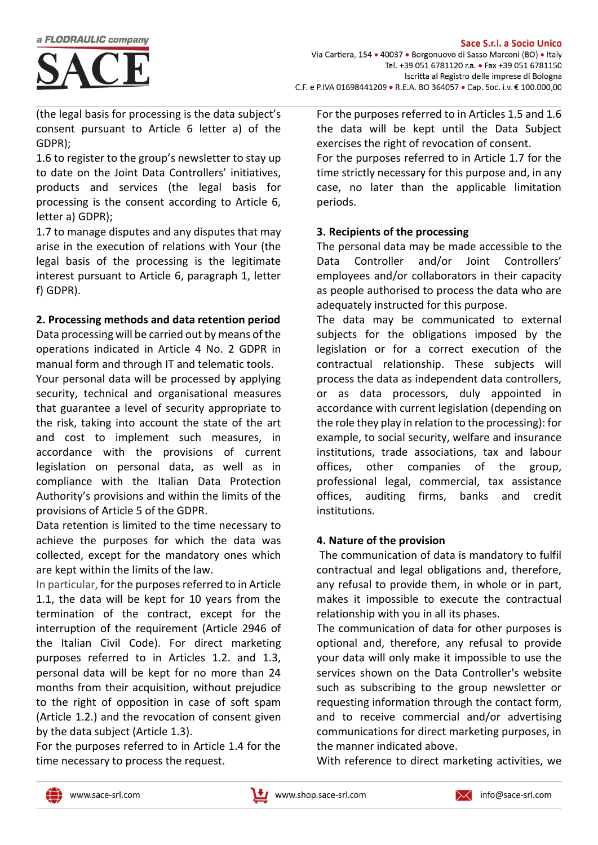

(the legal basis for processing is the data subject's consent pursuant to Article 6 letter a) of the GDPR);

1.6 to register to the group's newsletter to stay up to date on the Joint Data Controllers' initiatives, products and services (the legal basis for processing is the consent according to Article 6, letter a) GDPR);

1.7 to manage disputes and any disputes that may arise in the execution of relations with Your (the legal basis of the processing is the legitimate interest pursuant to Article 6, paragraph 1, letter f) GDPR).

# **2. Processing methods and data retention period**

Data processing will be carried out by means of the operations indicated in Article 4 No. 2 GDPR in manual form and through IT and telematic tools.

Your personal data will be processed by applying security, technical and organisational measures that guarantee a level of security appropriate to the risk, taking into account the state of the art and cost to implement such measures, in accordance with the provisions of current legislation on personal data, as well as in compliance with the Italian Data Protection Authority's provisions and within the limits of the provisions of Article 5 of the GDPR.

Data retention is limited to the time necessary to achieve the purposes for which the data was collected, except for the mandatory ones which are kept within the limits of the law.

In particular, for the purposes referred to in Article 1.1, the data will be kept for 10 years from the termination of the contract, except for the interruption of the requirement (Article 2946 of the Italian Civil Code). For direct marketing purposes referred to in Articles 1.2. and 1.3, personal data will be kept for no more than 24 months from their acquisition, without prejudice to the right of opposition in case of soft spam (Article 1.2.) and the revocation of consent given by the data subject (Article 1.3).

For the purposes referred to in Article 1.4 for the time necessary to process the request.

For the purposes referred to in Articles 1.5 and 1.6 the data will be kept until the Data Subject exercises the right of revocation of consent.

For the purposes referred to in Article 1.7 for the time strictly necessary for this purpose and, in any case, no later than the applicable limitation periods.

### **3. Recipients of the processing**

The personal data may be made accessible to the Data Controller and/or Joint Controllers' employees and/or collaborators in their capacity as people authorised to process the data who are adequately instructed for this purpose.

The data may be communicated to external subjects for the obligations imposed by the legislation or for a correct execution of the contractual relationship. These subjects will process the data as independent data controllers, or as data processors, duly appointed in accordance with current legislation (depending on the role they play in relation to the processing): for example, to social security, welfare and insurance institutions, trade associations, tax and labour offices, other companies of the group, professional legal, commercial, tax assistance offices, auditing firms, banks and credit institutions.

# **4. Nature of the provision**

The communication of data is mandatory to fulfil contractual and legal obligations and, therefore, any refusal to provide them, in whole or in part, makes it impossible to execute the contractual relationship with you in all its phases.

The communication of data for other purposes is optional and, therefore, any refusal to provide your data will only make it impossible to use the services shown on the Data Controller's website such as subscribing to the group newsletter or requesting information through the contact form, and to receive commercial and/or advertising communications for direct marketing purposes, in the manner indicated above.

With reference to direct marketing activities, we



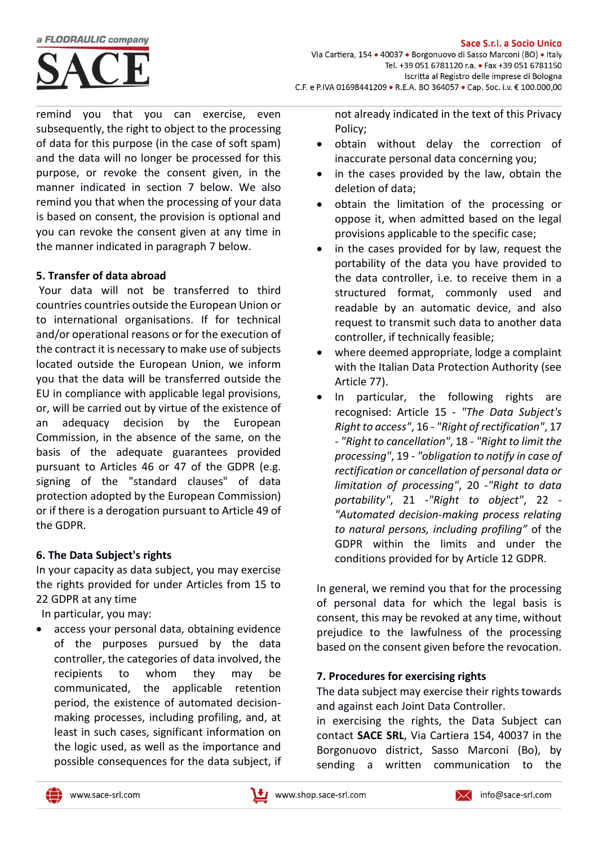#### a FLODRAULIC company



remind you that you can exercise, even subsequently, the right to object to the processing of data for this purpose (in the case of soft spam) and the data will no longer be processed for this purpose, or revoke the consent given, in the manner indicated in section 7 below. We also remind you that when the processing of your data is based on consent, the provision is optional and you can revoke the consent given at any time in the manner indicated in paragraph 7 below.

#### **5. Transfer of data abroad**

Your data will not be transferred to third countries countries outside the European Union or to international organisations. If for technical and/or operational reasons or for the execution of the contract it is necessary to make use of subjects located outside the European Union, we inform you that the data will be transferred outside the EU in compliance with applicable legal provisions, or, will be carried out by virtue of the existence of an adequacy decision by the European Commission, in the absence of the same, on the basis of the adequate guarantees provided pursuant to Articles 46 or 47 of the GDPR (e.g. signing of the "standard clauses" of data protection adopted by the European Commission) or if there is a derogation pursuant to Article 49 of the GDPR.

#### **6. The Data Subject's rights**

In your capacity as data subject, you may exercise the rights provided for under Articles from 15 to 22 GDPR at any time

In particular, you may:

access your personal data, obtaining evidence of the purposes pursued by the data controller, the categories of data involved, the recipients to whom they may be communicated, the applicable retention period, the existence of automated decisionmaking processes, including profiling, and, at least in such cases, significant information on the logic used, as well as the importance and possible consequences for the data subject, if not already indicated in the text of this Privacy Policy;

- obtain without delay the correction of inaccurate personal data concerning you;
- in the cases provided by the law, obtain the deletion of data;
- obtain the limitation of the processing or oppose it, when admitted based on the legal provisions applicable to the specific case;
- in the cases provided for by law, request the portability of the data you have provided to the data controller, i.e. to receive them in a structured format, commonly used and readable by an automatic device, and also request to transmit such data to another data controller, if technically feasible;
- where deemed appropriate, lodge a complaint with the Italian Data Protection Authority (see Article 77).
- In particular, the following rights are recognised: Article 15 - *"The Data Subject's Right to access"*, 16 - *"Right of rectification"*, 17 - *"Right to cancellation"*, 18 - *"Right to limit the processing"*, 19 - *"obligation to notify in case of rectification or cancellation of personal data or limitation of processing"*, 20 -*"Right to data portability"*, 21 -*"Right to object"*, 22 - *"Automated decision-making process relating to natural persons, including profiling"* of the GDPR within the limits and under the conditions provided for by Article 12 GDPR.

In general, we remind you that for the processing of personal data for which the legal basis is consent, this may be revoked at any time, without prejudice to the lawfulness of the processing based on the consent given before the revocation.

#### **7. Procedures for exercising rights**

The data subject may exercise their rights towards and against each Joint Data Controller.

in exercising the rights, the Data Subject can contact **SACE SRL**, Via Cartiera 154, 40037 in the Borgonuovo district, Sasso Marconi (Bo), by sending a written communication to the